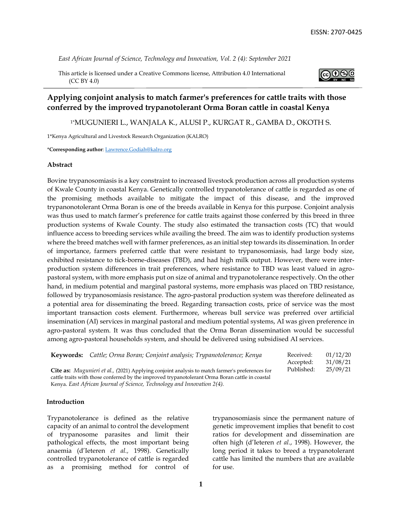*East African Journal of Science, Technology and Innovation, Vol. 2 (4): September 2021*

This article is licensed under a Creative Commons license, Attribution 4.0 International (CC BY 4.0)



# **Applying conjoint analysis to match farmer's preferences for cattle traits with those conferred by the improved trypanotolerant Orma Boran cattle in coastal Kenya**

1\*MUGUNIERI L., WANJALA K., ALUSI P., KURGAT R., GAMBA D., OKOTH S.

1\*Kenya Agricultural and Livestock Research Organization (KALRO)

\***Corresponding author**: [Lawrence.Godiah@kalro.org](mailto:Lawrence.Godiah@kalro.org)

#### **Abstract**

Bovine trypanosomiasis is a key constraint to increased livestock production across all production systems of Kwale County in coastal Kenya. Genetically controlled trypanotolerance of cattle is regarded as one of the promising methods available to mitigate the impact of this disease, and the improved trypanonotolerant Orma Boran is one of the breeds available in Kenya for this purpose. Conjoint analysis was thus used to match farmer's preference for cattle traits against those conferred by this breed in three production systems of Kwale County. The study also estimated the transaction costs (TC) that would influence access to breeding services while availing the breed. The aim was to identify production systems where the breed matches well with farmer preferences, as an initial step towards its dissemination. In order of importance, farmers preferred cattle that were resistant to trypanosomiasis, had large body size, exhibited resistance to tick-borne-diseases (TBD), and had high milk output. However, there were interproduction system differences in trait preferences, where resistance to TBD was least valued in agropastoral system, with more emphasis put on size of animal and trypanotolerance respectively. On the other hand, in medium potential and marginal pastoral systems, more emphasis was placed on TBD resistance, followed by trypanosomiasis resistance. The agro-pastoral production system was therefore delineated as a potential area for disseminating the breed. Regarding transaction costs, price of service was the most important transaction costs element. Furthermore, whereas bull service was preferred over artificial insemination (AI) services in marginal pastoral and medium potential systems, AI was given preference in agro-pastoral system. It was thus concluded that the Orma Boran dissemination would be successful among agro-pastoral households system, and should be delivered using subsidised AI services.

| <b>Keywords:</b> Cattle; Orma Boran; Conjoint analysis; Trypanotolerance; Kenya                 | Received:  | 01/12/20 |
|-------------------------------------------------------------------------------------------------|------------|----------|
|                                                                                                 | Accepted:  | 31/08/21 |
| Cite as: Mugunieri et al., (2021) Applying conjoint analysis to match farmer's preferences for  | Published: | 25/09/21 |
| cattle traits with those conferred by the improved trypanotolerant Orma Boran cattle in coastal |            |          |
| Kenya. East African Journal of Science, Technology and Innovation 2(4).                         |            |          |

#### **Introduction**

Trypanotolerance is defined as the relative capacity of an animal to control the development of trypanosome parasites and limit their pathological effects, the most important being anaemia (d'Ieteren *et al.,* 1998). Genetically controlled trypanotolerance of cattle is regarded as a promising method for control of trypanosomiasis since the permanent nature of genetic improvement implies that benefit to cost ratios for development and dissemination are often high (d'Ieteren *et al.*, 1998). However, the long period it takes to breed a trypanotolerant cattle has limited the numbers that are available for use.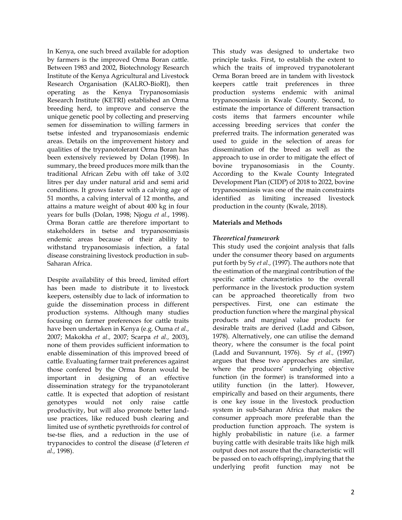In Kenya, one such breed available for adoption by farmers is the improved Orma Boran cattle. Between 1983 and 2002, Biotechnology Research Institute of the Kenya Agricultural and Livestock Research Organisation (KALRO-BioRI), then operating as the Kenya Trypanosomiasis Research Institute (KETRI) established an Orma breeding herd, to improve and conserve the unique genetic pool by collecting and preserving semen for dissemination to willing farmers in tsetse infested and trypanosomiasis endemic areas. Details on the improvement history and qualities of the trypanotolerant Orma Boran has been extensively reviewed by Dolan (1998). In summary, the breed produces more milk than the traditional African Zebu with off take of 3.02 litres per day under natural arid and semi arid conditions. It grows faster with a calving age of 51 months, a calving interval of 12 months, and attains a mature weight of about 400 kg in four years for bulls (Dolan, 1998; Njogu *et al.*, 1998). Orma Boran cattle are therefore important to stakeholders in tsetse and trypanosomiasis endemic areas because of their ability to withstand trypanosomiasis infection, a fatal disease constraining livestock production in sub-Saharan Africa.

Despite availability of this breed, limited effort has been made to distribute it to livestock keepers, ostensibly due to lack of information to guide the dissemination process in different production systems. Although many studies focusing on farmer preferences for cattle traits have been undertaken in Kenya (e.g. Ouma *et al.,* 2007; Makokha *et al.,* 2007; Scarpa *et al.,* 2003), none of them provides sufficient information to enable dissemination of this improved breed of cattle. Evaluating farmer trait preferences against those confered by the Orma Boran would be important in designing of an effective dissemination strategy for the trypanotolerant cattle. It is expected that adoption of resistant genotypes would not only raise cattle productivity, but will also promote better landuse practices, like reduced bush clearing and limited use of synthetic pyrethroids for control of tse-tse flies, and a reduction in the use of trypanocides to control the disease (d'Ieteren *et al.,* 1998).

This study was designed to undertake two principle tasks. First, to establish the extent to which the traits of improved trypanotolerant Orma Boran breed are in tandem with livestock keepers cattle trait preferences in three production systems endemic with animal trypanosomiasis in Kwale County. Second, to estimate the importance of different transaction costs items that farmers encounter while accessing breeding services that confer the preferred traits. The information generated was used to guide in the selection of areas for dissemination of the breed as well as the approach to use in order to mitigate the effect of bovine trypanosomiasis in the County. According to the Kwale County Integrated Development Plan (CIDP) of 2018 to 2022, bovine trypanosomiasis was one of the main constraints identified as limiting increased livestock production in the county (Kwale, 2018).

# **Materials and Methods**

# *Theoretical framework*

This study used the conjoint analysis that falls under the consumer theory based on arguments put forth by Sy *et al.,* (1997). The authors note that the estimation of the marginal contribution of the specific cattle characteristics to the overall performance in the livestock production system can be approached theoretically from two perspectives. First, one can estimate the production function where the marginal physical products and marginal value products for desirable traits are derived (Ladd and Gibson, 1978). Alternatively, one can utilise the demand theory, where the consumer is the focal point (Ladd and Suvannunt, 1976). Sy *et al.,* (1997) argues that these two approaches are similar, where the producers' underlying objective function (in the former) is transformed into a utility function (in the latter). However, empirically and based on their arguments, there is one key issue in the livestock production system in sub-Saharan Africa that makes the consumer approach more preferable than the production function approach. The system is highly probabilistic in nature (i.e. a farmer buying cattle with desirable traits like high milk output does not assure that the characteristic will be passed on to each offspring), implying that the underlying profit function may not be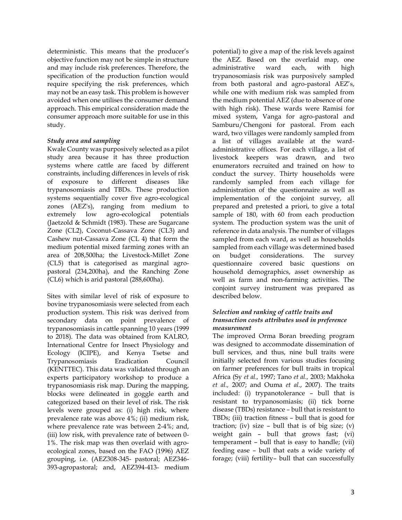deterministic. This means that the producer's objective function may not be simple in structure and may include risk preferences. Therefore, the specification of the production function would require specifying the risk preferences, which may not be an easy task. This problem is however avoided when one utilises the consumer demand approach. This empirical consideration made the consumer approach more suitable for use in this study.

# *Study area and sampling*

Kwale County was purposively selected as a pilot study area because it has three production systems where cattle are faced by different constraints, including differences in levels of risk of exposure to different diseases like trypanosomiasis and TBDs. These production systems sequentially cover five agro-ecological zones (AEZ's), ranging from medium to extremely low agro-ecological potentials (Jaetzold & Schmidt (1983). These are Sugarcane Zone (CL2), Coconut-Cassava Zone (CL3) and Cashew nut-Cassava Zone (CL 4) that form the medium potential mixed farming zones with an area of 208,500ha; the Livestock-Millet Zone (CL5) that is categorised as marginal agropastoral (234,200ha), and the Ranching Zone (CL6) which is arid pastoral (288,600ha).

Sites with similar level of risk of exposure to bovine trypanosomiasis were selected from each production system. This risk was derived from secondary data on point prevalence of trypanosomiasis in cattle spanning 10 years (1999 to 2018). The data was obtained from KALRO, International Centre for Insect Physiology and Ecology (ICIPE), and Kenya Tsetse and Trypanosomiasis Eradication Council (KENTTEC). This data was validated through an experts participatory workshop to produce a trypanosomiasis risk map. During the mapping, blocks were delineated in goggle earth and categorized based on their level of risk. The risk levels were grouped as: (i) high risk, where prevalence rate was above 4%; (ii) medium risk, where prevalence rate was between 2-4%; and, (iii) low risk, with prevalence rate of between 0- 1%. The risk map was then overlaid with agroecological zones, based on the FAO (1996) AEZ grouping, i.e. (AEZ308-345- pastoral; AEZ346- 393-agropastoral; and, AEZ394-413- medium

potential) to give a map of the risk levels against the AEZ. Based on the overlaid map, one administrative ward each, with high trypanosomiasis risk was purposively sampled from both pastoral and agro-pastoral AEZ's, while one with medium risk was sampled from the medium potential AEZ (due to absence of one with high risk). These wards were Ramisi for mixed system, Vanga for agro-pastoral and Samburu/Chengoni for pastoral. From each ward, two villages were randomly sampled from a list of villages available at the wardadministrative offices. For each village, a list of livestock keepers was drawn, and two enumerators recruited and trained on how to conduct the survey. Thirty households were randomly sampled from each village for administration of the questionnaire as well as implementation of the conjoint survey, all prepared and pretested a priori, to give a total sample of 180, with 60 from each production system. The production system was the unit of reference in data analysis. The number of villages sampled from each ward, as well as households sampled from each village was determined based on budget considerations. The survey questionnaire covered basic questions on household demographics, asset ownership as well as farm and non-farming activities. The conjoint survey instrument was prepared as described below.

# *Selection and ranking of cattle traits and transaction costs attributes used in preference measurement*

The improved Orma Boran breeding program was designed to accommodate dissemination of bull services, and thus, nine bull traits were initially selected from various studies focusing on farmer preferences for bull traits in tropical Africa (Sy *et al.,* 1997; Tano *et al.,* 2003; Makhoka *et al.,* 2007; and Ouma *et al.*, 2007). The traits included: (i) trypanotolerance – bull that is resistant to trypanosomiasis; (ii) tick borne disease (TBDs) resistance – bull that is resistant to TBDs; (iii) traction fitness – bull that is good for traction; (iv) size – bull that is of big size; (v) weight gain – bull that grows fast; (vi) temperament – bull that is easy to handle; (vii) feeding ease – bull that eats a wide variety of forage; (viii) fertility– bull that can successfully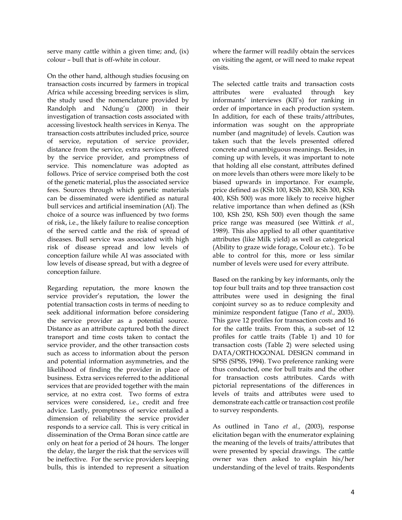serve many cattle within a given time; and, (ix) colour – bull that is off-white in colour.

On the other hand, although studies focusing on transaction costs incurred by farmers in tropical Africa while accessing breeding services is slim, the study used the nomenclature provided by Randolph and Ndung'u (2000) in their investigation of transaction costs associated with accessing livestock health services in Kenya. The transaction costs attributes included price, source of service, reputation of service provider, distance from the service, extra services offered by the service provider, and promptness of service. This nomenclature was adopted as follows. Price of service comprised both the cost of the genetic material, plus the associated service fees. Sources through which genetic materials can be disseminated were identified as natural bull services and artificial insemination (AI). The choice of a source was influenced by two forms of risk, i.e., the likely failure to realise conception of the served cattle and the risk of spread of diseases. Bull service was associated with high risk of disease spread and low levels of conception failure while AI was associated with low levels of disease spread, but with a degree of conception failure.

Regarding reputation, the more known the service provider's reputation, the lower the potential transaction costs in terms of needing to seek additional information before considering the service provider as a potential source. Distance as an attribute captured both the direct transport and time costs taken to contact the service provider, and the other transaction costs such as access to information about the person and potential information asymmetries, and the likelihood of finding the provider in place of business. Extra services referred to the additional services that are provided together with the main service, at no extra cost. Two forms of extra services were considered, i.e., credit and free advice. Lastly, promptness of service entailed a dimension of reliability the service provider responds to a service call. This is very critical in dissemination of the Orma Boran since cattle are only on heat for a period of 24 hours. The longer the delay, the larger the risk that the services will be ineffective. For the service providers keeping bulls, this is intended to represent a situation where the farmer will readily obtain the services on visiting the agent, or will need to make repeat visits.

The selected cattle traits and transaction costs attributes were evaluated through key informants' interviews (KII's) for ranking in order of importance in each production system. In addition, for each of these traits/attributes, information was sought on the appropriate number (and magnitude) of levels. Caution was taken such that the levels presented offered concrete and unambiguous meanings. Besides, in coming up with levels, it was important to note that holding all else constant, attributes defined on more levels than others were more likely to be biased upwards in importance. For example, price defined as (KSh 100, KSh 200, KSh 300, KSh 400, KSh 500) was more likely to receive higher relative importance than when defined as (KSh 100, KSh 250, KSh 500) even though the same price range was measured (see Wittink *et al.,* 1989). This also applied to all other quantitative attributes (like Milk yield) as well as categorical (Ability to graze wide forage, Colour etc.). To be able to control for this, more or less similar number of levels were used for every attribute.

Based on the ranking by key informants, only the top four bull traits and top three transaction cost attributes were used in designing the final conjoint survey so as to reduce complexity and minimize respondent fatigue (Tano *et al.,* 2003). This gave 12 profiles for transaction costs and 16 for the cattle traits. From this, a sub-set of 12 profiles for cattle traits (Table 1) and 10 for transaction costs (Table 2) were selected using DATA/ORTHOGONAL DESIGN command in SPSS (SPSS, 1994). Two preference ranking were thus conducted, one for bull traits and the other for transaction costs attributes. Cards with pictorial representations of the differences in levels of traits and attributes were used to demonstrate each cattle or transaction cost profile to survey respondents.

As outlined in Tano *et al.,* (2003), response elicitation began with the enumerator explaining the meaning of the levels of traits/attributes that were presented by special drawings. The cattle owner was then asked to explain his/her understanding of the level of traits. Respondents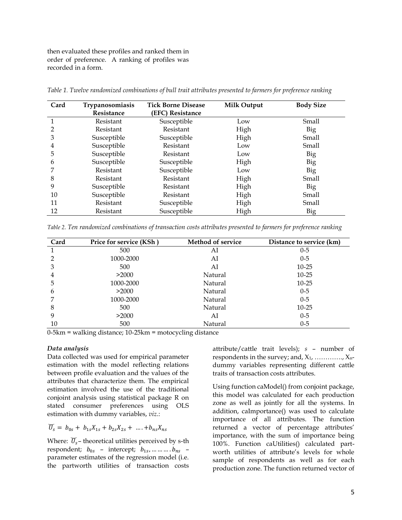then evaluated these profiles and ranked them in order of preference. A ranking of profiles was recorded in a form.

| Card | Trypanosomiasis | <b>Tick Borne Disease</b> | <b>Milk Output</b> | <b>Body Size</b> |
|------|-----------------|---------------------------|--------------------|------------------|
|      | Resistance      | (EFC) Resistance          |                    |                  |
|      | Resistant       | Susceptible               | Low                | Small            |
| 2    | Resistant       | Resistant                 | High               | Big              |
| 3    | Susceptible     | Susceptible               | High               | Small            |
| 4    | Susceptible     | Resistant                 | Low                | Small            |
| 5    | Susceptible     | Resistant                 | Low                | Big              |
| 6    | Susceptible     | Susceptible               | High               | Big              |
|      | Resistant       | Susceptible               | Low                | Big              |
| 8    | Resistant       | Resistant                 | High               | Small            |
| 9    | Susceptible     | Resistant                 | High               | Big              |
| 10   | Susceptible     | Resistant                 | High               | Small            |
| 11   | Resistant       | Susceptible               | High               | Small            |
| 12   | Resistant       | Susceptible               | High               | Big              |

*Table 1. Twelve randomized combinations of bull trait attributes presented to farmers for preference ranking*

*Table 2. Ten randomized combinations of transaction costs attributes presented to farmers for preference ranking*

| Card | Price for service (KSh) | <b>Method of service</b> | Distance to service (km) |
|------|-------------------------|--------------------------|--------------------------|
|      | 500                     | AI                       | $0 - 5$                  |
| 2    | 1000-2000               | AI                       | $0 - 5$                  |
| 3    | 500                     | AI                       | $10 - 25$                |
| 4    | >2000                   | Natural                  | $10 - 25$                |
| 5    | 1000-2000               | Natural                  | $10 - 25$                |
| 6    | >2000                   | Natural                  | $0 - 5$                  |
|      | 1000-2000               | Natural                  | $0 - 5$                  |
| 8    | 500                     | Natural                  | $10 - 25$                |
| 9    | >2000                   | AI                       | $0-5$                    |
| 10   | 500                     | Natural                  | $0-5$                    |

0-5km = walking distance; 10-25km = motocycling distance

#### *Data analysis*

Data collected was used for empirical parameter estimation with the model reflecting relations between profile evaluation and the values of the attributes that characterize them. The empirical estimation involved the use of the traditional conjoint analysis using statistical package R on stated consumer preferences using OLS estimation with dummy variables, *viz*.:

 $\widetilde{U}_s = b_{0s} + b_{1s}X_{1s} + b_{2s}X_{2s} + \dots + b_{ns}X_{ns}$ 

Where:  $\widetilde{U}_s$  – theoretical utilities perceived by s-th respondent;  $b_{0s}$  – intercept;  $b_{1s}$ , ... ... ... .  $b_{ns}$  – parameter estimates of the regression model (i.e. the partworth utilities of transaction costs attribute/cattle trait levels); *s* – number of respondents in the survey; and,  $X_1$ , ............,  $X_n$ dummy variables representing different cattle traits of transaction costs attributes.

Using function caModel() from conjoint package, this model was calculated for each production zone as well as jointly for all the systems. In addition, caImportance() was used to calculate importance of all attributes. The function returned a vector of percentage attributes' importance, with the sum of importance being 100%. Function caUtilities() calculated partworth utilities of attribute's levels for whole sample of respondents as well as for each production zone. The function returned vector of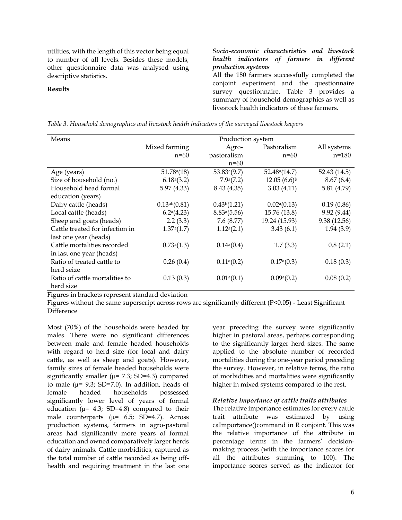utilities, with the length of this vector being equal to number of all levels. Besides these models, other questionnaire data was analysed using descriptive statistics.

#### **Results**

### *Socio-economic characteristics and livestock health indicators of farmers in different production systems*

All the 180 farmers successfully completed the conjoint experiment and the questionnaire survey questionnaire. Table 3 provides a summary of household demographics as well as livestock health indicators of these farmers.

|  |  |  | Table 3. Household demographics and livestock health indicators of the surveyed livestock keepers |
|--|--|--|---------------------------------------------------------------------------------------------------|
|  |  |  |                                                                                                   |

| Means                           | Production system       |                          |                          |              |
|---------------------------------|-------------------------|--------------------------|--------------------------|--------------|
|                                 | Mixed farming           | Agro-                    | Pastoralism              | All systems  |
|                                 | $n=60$                  | pastoralism              | $n=60$                   | $n = 180$    |
|                                 |                         | $n=60$                   |                          |              |
| Age (years)                     | 51.78 <sup>a</sup> (18) | 53.83a(9.7)              | 52.48a(14.7)             | 52.43 (14.5) |
| Size of household (no.)         | 6.18a(3.2)              | 7.9a(7.2)                | $12.05(6.6)^{b}$         | 8.67(6.4)    |
| Household head formal           | 5.97(4.33)              | 8.43 (4.35)              | 3.03(4.11)               | 5.81 (4.79)  |
| education (years)               |                         |                          |                          |              |
| Dairy cattle (heads)            | $0.13^{ab}(0.81)$       | 0.43 <sup>b</sup> (1.21) | 0.02 <sup>a</sup> (0.13) | 0.19(0.86)   |
| Local cattle (heads)            | $6.2^a(4.23)$           | 8.83 <sup>a</sup> (5.56) | 15.76 (13.8)             | 9.92 (9.44)  |
| Sheep and goats (heads)         | 2.2(3.3)                | 7.6 (8.77)               | 19.24 (15.93)            | 9.38 (12.56) |
| Cattle treated for infection in | 1.37 <sup>a</sup> (1.7) | 1.12 <sup>a</sup> (2.1)  | 3.43(6.1)                | 1.94(3.9)    |
| last one year (heads)           |                         |                          |                          |              |
| Cattle mortalities recorded     | 0.73a(1.3)              | 0.14a(0.4)               | 1.7(3.3)                 | 0.8(2.1)     |
| in last one year (heads)        |                         |                          |                          |              |
| Ratio of treated cattle to      | 0.26(0.4)               | 0.11 <sup>a</sup> (0.2)  | 0.17 <sup>a</sup> (0.3)  | 0.18(0.3)    |
| herd seize                      |                         |                          |                          |              |
| Ratio of cattle mortalities to  | 0.13(0.3)               | 0.01 <sup>a</sup> (0.1)  | 0.09 <sup>a</sup> (0.2)  | 0.08(0.2)    |
| herd size                       |                         |                          |                          |              |

Figures in brackets represent standard deviation

Figures without the same superscript across rows are significantly different (P<0.05) - Least Significant Difference

Most (70%) of the households were headed by males. There were no significant differences between male and female headed households with regard to herd size (for local and dairy cattle, as well as sheep and goats). However, family sizes of female headed households were significantly smaller ( $\mu$ = 7.3; SD=4.3) compared to male ( $\mu$ = 9.3; SD=7.0). In addition, heads of female headed households possessed significantly lower level of years of formal education ( $\mu$ = 4.3; SD=4.8) compared to their male counterparts  $(\mu = 6.5; SD=4.7)$ . Across production systems, farmers in agro-pastoral areas had significantly more years of formal education and owned comparatively larger herds of dairy animals. Cattle morbidities, captured as the total number of cattle recorded as being offhealth and requiring treatment in the last one

year preceding the survey were significantly higher in pastoral areas, perhaps corresponding to the significantly larger herd sizes. The same applied to the absolute number of recorded mortalities during the one-year period preceding the survey. However, in relative terms, the ratio of morbidities and mortalities were significantly higher in mixed systems compared to the rest.

#### *Relative importance of cattle traits attributes*

The relative importance estimates for every cattle trait attribute was estimated by using caImportance()command in R conjoint. This was the relative importance of the attribute in percentage terms in the farmers' decisionmaking process (with the importance scores for all the attributes summing to 100). The importance scores served as the indicator for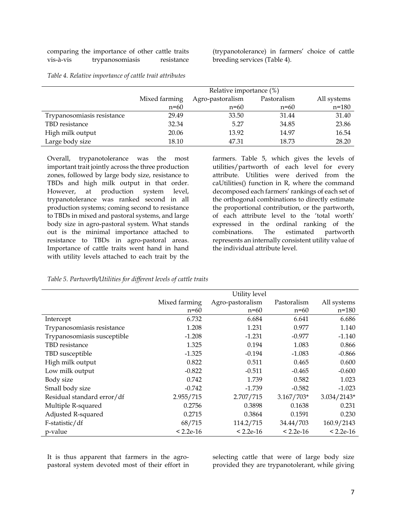|           | comparing the importance of other cattle traits |            |
|-----------|-------------------------------------------------|------------|
| vis-à-vis | trypanosomiasis                                 | resistance |

(trypanotolerance) in farmers' choice of cattle breeding services (Table 4).

|                            | Relative importance (%) |                                                |        |           |  |  |
|----------------------------|-------------------------|------------------------------------------------|--------|-----------|--|--|
|                            | Mixed farming           | Agro-pastoralism<br>Pastoralism<br>All systems |        |           |  |  |
|                            | $n=60$                  | $n=60$                                         | $n=60$ | $n = 180$ |  |  |
| Trypanosomiasis resistance | 29.49                   | 33.50                                          | 31.44  | 31.40     |  |  |
| TBD resistance             | 32.34                   | 5.27                                           | 34.85  | 23.86     |  |  |
| High milk output           | 20.06                   | 13.92                                          | 14.97  | 16.54     |  |  |
| Large body size            | 18.10                   | 47.31                                          | 18.73  | 28.20     |  |  |

*Table 4. Relative importance of cattle trait attributes*

Overall, trypanotolerance was the most important trait jointly across the three production zones, followed by large body size, resistance to TBDs and high milk output in that order. However, at production system level, trypanotolerance was ranked second in all production systems; coming second to resistance to TBDs in mixed and pastoral systems, and large body size in agro-pastoral system. What stands out is the minimal importance attached to resistance to TBDs in agro-pastoral areas. Importance of cattle traits went hand in hand with utility levels attached to each trait by the

farmers. Table 5, which gives the levels of utilities/partworth of each level for every attribute. Utilities were derived from the caUtilities() function in R, where the command decomposed each farmers' rankings of each set of the orthogonal combinations to directly estimate the proportional contribution, or the partworth, of each attribute level to the 'total worth' expressed in the ordinal ranking of the combinations. The estimated partworth represents an internally consistent utility value of the individual attribute level.

|                             | Utility level |                  |              |               |  |
|-----------------------------|---------------|------------------|--------------|---------------|--|
|                             | Mixed farming | Agro-pastoralism | Pastoralism  | All systems   |  |
|                             | $n=60$        | $n=60$           | $n=60$       | n=180         |  |
| Intercept                   | 6.732         | 6.684            | 6.641        | 6.686         |  |
| Trypanosomiasis resistance  | 1.208         | 1.231            | 0.977        | 1.140         |  |
| Trypanosomiasis susceptible | $-1.208$      | $-1.231$         | $-0.977$     | $-1.140$      |  |
| TBD resistance              | 1.325         | 0.194            | 1.083        | 0.866         |  |
| TBD susceptible             | $-1.325$      | $-0.194$         | $-1.083$     | $-0.866$      |  |
| High milk output            | 0.822         | 0.511            | 0.465        | 0.600         |  |
| Low milk output             | $-0.822$      | $-0.511$         | $-0.465$     | $-0.600$      |  |
| Body size                   | 0.742         | 1.739            | 0.582        | 1.023         |  |
| Small body size             | $-0.742$      | $-1.739$         | $-0.582$     | $-1.023$      |  |
| Residual standard error/df  | 2.955/715     | 2.707/715        | $3.167/703*$ | $3.034/2143*$ |  |
| Multiple R-squared          | 0.2756        | 0.3898           | 0.1638       | 0.231         |  |
| Adjusted R-squared          | 0.2715        | 0.3864           | 0.1591       | 0.230         |  |
| F-statistic/df              | 68/715        | 114.2/715        | 34.44/703    | 160.9/2143    |  |
| p-value                     | $< 2.2e-16$   | $< 2.2e-16$      | $< 2.2e-16$  | $< 2.2e-16$   |  |

It is thus apparent that farmers in the agropastoral system devoted most of their effort in selecting cattle that were of large body size provided they are trypanotolerant, while giving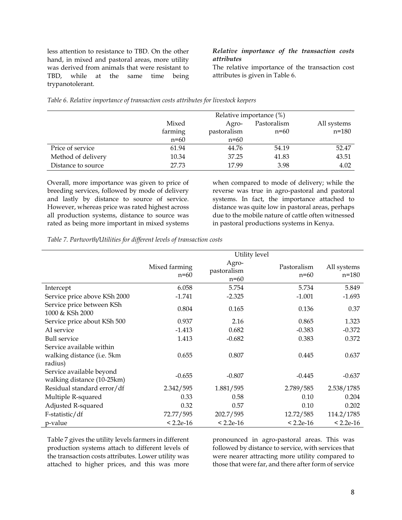less attention to resistance to TBD. On the other hand, in mixed and pastoral areas, more utility was derived from animals that were resistant to TBD, while at the same time being trypanotolerant.

### *Relative importance of the transaction costs attributes*

The relative importance of the transaction cost attributes is given in Table 6.

|                    | Relative importance (%)                      |             |        |           |
|--------------------|----------------------------------------------|-------------|--------|-----------|
|                    | Pastoralism<br>Mixed<br>All systems<br>Agro- |             |        |           |
|                    | farming                                      | pastoralism | $n=60$ | $n = 180$ |
|                    | $n=60$                                       | $n=60$      |        |           |
| Price of service   | 61.94                                        | 44.76       | 54.19  | 52.47     |
| Method of delivery | 10.34                                        | 37.25       | 41.83  | 43.51     |
| Distance to source | 27.73                                        | 17.99       | 3.98   | 4.02      |

*Table 6. Relative importance of transaction costs attributes for livestock keepers* 

Overall, more importance was given to price of breeding services, followed by mode of delivery and lastly by distance to source of service. However, whereas price was rated highest across all production systems, distance to source was rated as being more important in mixed systems

when compared to mode of delivery; while the reverse was true in agro-pastoral and pastoral systems. In fact, the importance attached to distance was quite low in pastoral areas, perhaps due to the mobile nature of cattle often witnessed in pastoral productions systems in Kenya.

*Table 7. Partworth/Utilities for different levels of transaction costs*

|                                                        |                         |                                | Utility level         |                      |
|--------------------------------------------------------|-------------------------|--------------------------------|-----------------------|----------------------|
|                                                        | Mixed farming<br>$n=60$ | Agro-<br>pastoralism<br>$n=60$ | Pastoralism<br>$n=60$ | All systems<br>n=180 |
| Intercept                                              | 6.058                   | 5.754                          | 5.734                 | 5.849                |
| Service price above KSh 2000                           | $-1.741$                | $-2.325$                       | $-1.001$              | $-1.693$             |
| Service price between KSh<br>1000 & KSh 2000           | 0.804                   | 0.165                          | 0.136                 | 0.37                 |
| Service price about KSh 500                            | 0.937                   | 2.16                           | 0.865                 | 1.323                |
| AI service                                             | $-1.413$                | 0.682                          | $-0.383$              | $-0.372$             |
| <b>Bull service</b>                                    | 1.413                   | $-0.682$                       | 0.383                 | 0.372                |
| Service available within                               |                         |                                |                       |                      |
| walking distance (i.e. 5km                             | 0.655                   | 0.807                          | 0.445                 | 0.637                |
| radius)                                                |                         |                                |                       |                      |
| Service available beyond<br>walking distance (10-25km) | $-0.655$                | $-0.807$                       | $-0.445$              | $-0.637$             |
| Residual standard error/df                             | 2.342/595               | 1.881/595                      | 2.789/585             | 2.538/1785           |
| Multiple R-squared                                     | 0.33                    | 0.58                           | 0.10                  | 0.204                |
| Adjusted R-squared                                     | 0.32                    | 0.57                           | 0.10                  | 0.202                |
| F-statistic/df                                         | 72.77/595               | 202.7/595                      | 12.72/585             | 114.2/1785           |
| p-value                                                | $< 2.2e-16$             | $< 2.2e-16$                    | $< 2.2e-16$           | $< 2.2e-16$          |

Table 7 gives the utility levels farmers in different production systems attach to different levels of the transaction costs attributes. Lower utility was attached to higher prices, and this was more

pronounced in agro-pastoral areas. This was followed by distance to service, with services that were nearer attracting more utility compared to those that were far, and there after form of service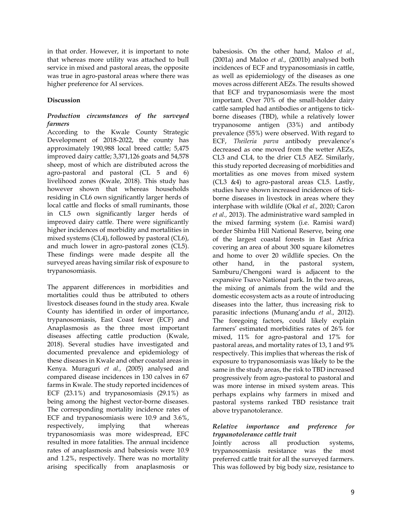in that order. However, it is important to note that whereas more utility was attached to bull service in mixed and pastoral areas, the opposite was true in agro-pastoral areas where there was higher preference for AI services.

### **Discussion**

# *Production circumstances of the surveyed farmers*

According to the Kwale County Strategic Development of 2018-2022, the county has approximately 190,988 local breed cattle; 5,475 improved dairy cattle; 3,371,126 goats and 54,578 sheep, most of which are distributed across the agro-pastoral and pastoral (CL 5 and 6) livelihood zones (Kwale, 2018). This study has however shown that whereas households residing in CL6 own significantly larger herds of local cattle and flocks of small ruminants, those in CL5 own significantly larger herds of improved dairy cattle. There were significantly higher incidences of morbidity and mortalities in mixed systems (CL4), followed by pastoral (CL6), and much lower in agro-pastoral zones (CL5). These findings were made despite all the surveyed areas having similar risk of exposure to trypanosomiasis.

The apparent differences in morbidities and mortalities could thus be attributed to others livestock diseases found in the study area. Kwale County has identified in order of importance, trypanosomiasis, East Coast fever (ECF) and Anaplasmosis as the three most important diseases affecting cattle production (Kwale, 2018). Several studies have investigated and documented prevalence and epidemiology of these diseases in Kwale and other coastal areas in Kenya. Muraguri *et al.,* (2005) analysed and compared disease incidences in 130 calves in 67 farms in Kwale. The study reported incidences of ECF (23.1%) and trypanosomiasis (29.1%) as being among the highest vector-borne diseases. The corresponding mortality incidence rates of ECF and trypanosomiasis were 10.9 and 3.6%, respectively, implying that whereas trypanosomiasis was more widespread, EFC resulted in more fatalities. The annual incidence rates of anaplasmosis and babesiosis were 10.9 and 1.2%, respectively. There was no mortality arising specifically from anaplasmosis or

babesiosis. On the other hand, Maloo *et al.,* (2001a) and Maloo *et al.,* (2001b) analysed both incidences of ECF and trypanosomiasis in cattle, as well as epidemiology of the diseases as one moves across different AEZs. The results showed that ECF and trypanosomiasis were the most important. Over 70% of the small-holder dairy cattle sampled had antibodies or antigens to tickborne diseases (TBD), while a relatively lower trypanosome antigen (33%) and antibody prevalence (55%) were observed. With regard to ECF, *Theileria parva* antibody prevalence's decreased as one moved from the wetter AEZs, CL3 and CL4, to the drier CL5 AEZ. Similarly, this study reported decreasing of morbidities and mortalities as one moves from mixed system (CL3 &4) to agro-pastoral areas CL5. Lastly, studies have shown increased incidences of tickborne diseases in livestock in areas where they interphase with wildlife (Okal *et al.,* 2020; Caron *et al.,* 2013). The administrative ward sampled in the mixed farming system (i.e. Ramisi ward) border Shimba Hill National Reserve, being one of the largest coastal forests in East Africa covering an area of about 300 square kilometres and home to over 20 wildlife species. On the other hand, in the pastoral system, Samburu/Chengoni ward is adjacent to the expansive Tsavo National park. In the two areas, the mixing of animals from the wild and the domestic ecosystem acts as a route of introducing diseases into the latter, thus increasing risk to parasitic infections (Munang'andu *et al.,* 2012). The foregoing factors, could likely explain farmers' estimated morbidities rates of 26% for mixed, 11% for agro-pastoral and 17% for pastoral areas, and mortality rates of 13, 1 and 9% respectively. This implies that whereas the risk of exposure to trypanosomiasis was likely to be the same in the study areas, the risk to TBD increased progressively from agro-pastoral to pastoral and was more intense in mixed system areas. This perhaps explains why farmers in mixed and pastoral systems ranked TBD resistance trait above trypanotolerance.

### *Relative importance and preference for trypanotolerance cattle trait*

Jointly across all production systems, trypanosomiasis resistance was the most preferred cattle trait for all the surveyed farmers. This was followed by big body size, resistance to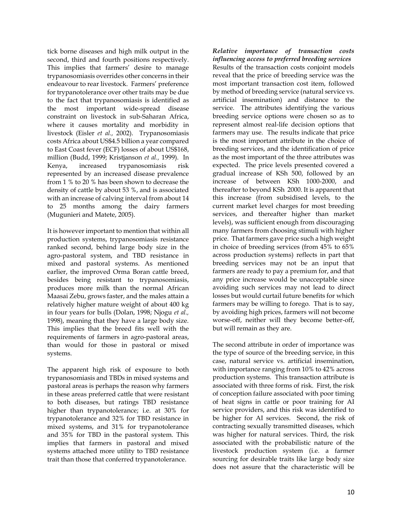tick borne diseases and high milk output in the second, third and fourth positions respectively. This implies that farmers' desire to manage trypanosomiasis overrides other concerns in their endeavour to rear livestock. Farmers' preference for trypanotolerance over other traits may be due to the fact that trypanosomiasis is identified as the most important wide-spread disease constraint on livestock in sub-Saharan Africa, where it causes mortality and morbidity in livestock (Eisler *et al.,* 2002). Trypanosomiasis costs Africa about US\$4.5 billion a year compared to East Coast fever (ECF) losses of about US\$168, million (Budd, 1999; Kristjanson *et al.,* 1999). In Kenya, increased trypanosomiasis risk represented by an increased disease prevalence from 1 % to 20 % has been shown to decrease the density of cattle by about 53 %, and is associated with an increase of calving interval from about 14 to 25 months among the dairy farmers (Mugunieri and Matete, 2005).

It is however important to mention that within all production systems, trypanosomiasis resistance ranked second, behind large body size in the agro-pastoral system, and TBD resistance in mixed and pastoral systems. As mentioned earlier, the improved Orma Boran cattle breed, besides being resistant to trypanosomiasis, produces more milk than the normal African Maasai Zebu, grows faster, and the males attain a relatively higher mature weight of about 400 kg in four years for bulls (Dolan, 1998; Njogu *et al.,* 1998), meaning that they have a large body size. This implies that the breed fits well with the requirements of farmers in agro-pastoral areas, than would for those in pastoral or mixed systems.

The apparent high risk of exposure to both trypanosomiasis and TBDs in mixed systems and pastoral areas is perhaps the reason why farmers in these areas preferred cattle that were resistant to both diseases, but ratings TBD resistance higher than trypanotolerance; i.e. at 30% for trypanotolerance and 32% for TBD resistance in mixed systems, and 31% for trypanotolerance and 35% for TBD in the pastoral system. This implies that farmers in pastoral and mixed systems attached more utility to TBD resistance trait than those that conferred trypanotolerance.

*Relative importance of transaction costs influencing access to preferred breeding services* Results of the transaction costs conjoint models reveal that the price of breeding service was the most important transaction cost item, followed by method of breeding service (natural service vs. artificial insemination) and distance to the service. The attributes identifying the various breeding service options were chosen so as to represent almost real-life decision options that farmers may use. The results indicate that price is the most important attribute in the choice of breeding services, and the identification of price as the most important of the three attributes was expected. The price levels presented covered a gradual increase of KSh 500, followed by an increase of between KSh 1000-2000, and thereafter to beyond KSh 2000. It is apparent that this increase (from subsidised levels, to the current market level charges for most breeding services, and thereafter higher than market levels), was sufficient enough from discouraging many farmers from choosing stimuli with higher price. That farmers gave price such a high weight in choice of breeding services (from 45% to 65% across production systems) reflects in part that breeding services may not be an input that farmers are ready to pay a premium for, and that any price increase would be unacceptable since avoiding such services may not lead to direct losses but would curtail future benefits for which farmers may be willing to forego. That is to say, by avoiding high prices, farmers will not become worse-off, neither will they become better-off, but will remain as they are.

The second attribute in order of importance was the type of source of the breeding service, in this case, natural service vs. artificial insemination, with importance ranging from 10% to 42% across production systems. This transaction attribute is associated with three forms of risk. First, the risk of conception failure associated with poor timing of heat signs in cattle or poor training for AI service providers, and this risk was identified to be higher for AI services. Second, the risk of contracting sexually transmitted diseases, which was higher for natural services. Third, the risk associated with the probabilistic nature of the livestock production system (i.e. a farmer sourcing for desirable traits like large body size does not assure that the characteristic will be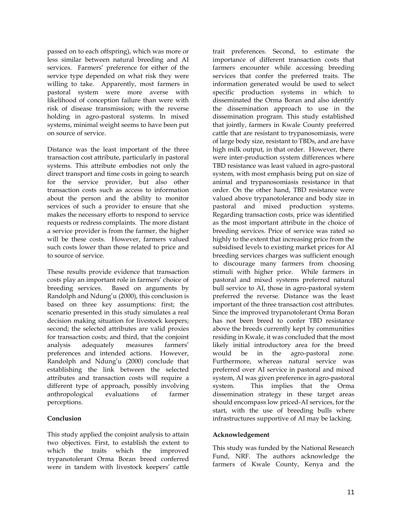passed on to each offspring), which was more or less similar between natural breeding and AI services. Farmers' preference for either of the service type depended on what risk they were willing to take. Apparently, most farmers in pastoral system were more averse with likelihood of conception failure than were with risk of disease transmission; with the reverse holding in agro-pastoral systems. In mixed systems, minimal weight seems to have been put on source of service.

Distance was the least important of the three transaction cost attribute, particularly in pastoral systems. This attribute embodies not only the direct transport and time costs in going to search for the service provider, but also other transaction costs such as access to information about the person and the ability to monitor services of such a provider to ensure that she makes the necessary efforts to respond to service requests or redress complaints. The more distant a service provider is from the farmer, the higher will be these costs. However, farmers valued such costs lower than those related to price and to source of service.

These results provide evidence that transaction costs play an important role in farmers' choice of breeding services. Based on arguments by Randolph and Ndung'u (2000), this conclusion is based on three key assumptions: first; the scenario presented in this study simulates a real decision making situation for livestock keepers; second; the selected attributes are valid proxies for transaction costs; and third, that the conjoint analysis adequately measures farmers' preferences and intended actions. However, Randolph and Ndung'u (2000) conclude that establishing the link between the selected attributes and transaction costs will require a different type of approach, possibly involving anthropological evaluations of farmer perceptions.

# **Conclusion**

This study applied the conjoint analysis to attain two objectives. First, to establish the extent to which the traits which the improved trypanotolerant Orma Boran breed conferred were in tandem with livestock keepers' cattle

trait preferences. Second, to estimate the importance of different transaction costs that farmers encounter while accessing breeding services that confer the preferred traits. The information generated would be used to select specific production systems in which to disseminated the Orma Boran and also identify the dissemination approach to use in the dissemination program. This study established that jointly, farmers in Kwale County preferred cattle that are resistant to trypanosomiasis, were of large body size, resistant to TBDs, and are have high milk output, in that order. However, there were inter-production system differences where TBD resistance was least valued in agro-pastoral system, with most emphasis being put on size of animal and trypanosomiasis resistance in that order. On the other hand, TBD resistance were valued above trypanotolerance and body size in pastoral and mixed production systems. Regarding transaction costs, price was identified as the most important attribute in the choice of breeding services. Price of service was rated so highly to the extent that increasing price from the subsidised levels to existing market prices for AI breeding services charges was sufficient enough to discourage many farmers from choosing stimuli with higher price. While farmers in pastoral and mixed systems preferred natural bull service to AI, those in agro-pastoral system preferred the reverse. Distance was the least important of the three transaction cost attributes. Since the improved trypanotolerant Orma Boran has not been breed to confer TBD resistance above the breeds currently kept by communities residing in Kwale, it was concluded that the most likely initial introductory area for the breed would be in the agro-pastoral zone. Furthermore, whereas natural service was preferred over AI service in pastoral and mixed system, AI was given preference in agro-pastoral system. This implies that the Orma dissemination strategy in these target areas should encompass low priced-AI services, for the start, with the use of breeding bulls where infrastructures supportive of AI may be lacking.

#### **Acknowledgement**

This study was funded by the National Research Fund, NRF. The authors acknowledge the farmers of Kwale County, Kenya and the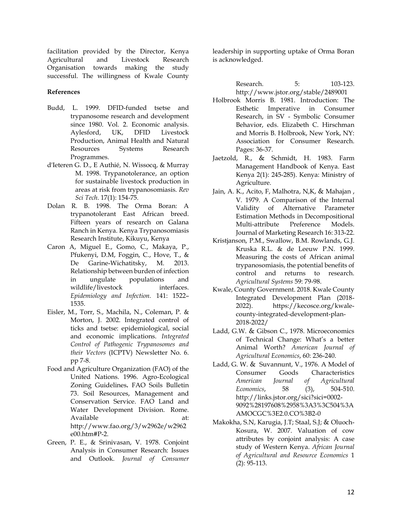facilitation provided by the Director, Kenya Agricultural and Livestock Research Organisation towards making the study successful. The willingness of Kwale County

# **References**

- Budd, L. 1999. DFID-funded tsetse and trypanosome research and development since 1980. Vol. 2. Economic analysis. Aylesford, UK, DFID Livestock Production, Animal Health and Natural Resources Systems Research Programmes.
- [d'Ieteren](https://pubmed.ncbi.nlm.nih.gov/?term=d%27Ieteren+GD&cauthor_id=9638808) G. D., [E Authié,](https://pubmed.ncbi.nlm.nih.gov/?term=Authi%C3%A9+E&cauthor_id=9638808) [N. Wissocq,](https://pubmed.ncbi.nlm.nih.gov/?term=Wissocq+N&cauthor_id=9638808) & [Murray](https://pubmed.ncbi.nlm.nih.gov/?term=Murray+M&cauthor_id=9638808) M. 1998. Trypanotolerance, an option for sustainable livestock production in areas at risk from trypanosomiasis. *Rev Sci Tech*. 17(1): 154-75.
- Dolan R. B. 1998. The Orma Boran: A trypanotolerant East African breed. Fifteen years of research on Galana Ranch in Kenya. Kenya Trypanosomiasis Research Institute, Kikuyu, Kenya
- Caron A, Miguel E., Gomo, C., Makaya, P., Pfukenyi, D.M, Foggin, C., Hove, T., & De Garine-Wichatitsky, M. 2013. Relationship between burden of infection in ungulate populations and wildlife/livestock interfaces. *Epidemiology and Infection.* 141: 1522– 1535.
- Eisler, M., Torr, S., Machila, N., Coleman, P. & Morton, J. 2002. Integrated control of ticks and tsetse: epidemiological, social and economic implications. *Integrated Control of Pathogenic Trypanosomes and their Vectors* (ICPTV) Newsletter No. 6. pp 7-8.
- Food and Agriculture Organization (FAO) of the United Nations. 1996. Agro-Ecological Zoning Guidelines**.** FAO Soils Bulletin 73. Soil Resources, Management and Conservation Service. FAO Land and Water Development Division. Rome. Available at: [http://www.fao.org/3/w2962e/w2962](http://www.fao.org/3/w2962e/w2962e00.htm#P-2) [e00.htm#P-2.](http://www.fao.org/3/w2962e/w2962e00.htm#P-2)
- Green, P. E., & Srinivasan, V. 1978. Conjoint Analysis in Consumer Research: Issues and Outlook. *Journal of Consumer*

leadership in supporting uptake of Orma Boran is acknowledged.

> Research. 5: 103-123. <http://www.jstor.org/stable/2489001>

- Holbrook Morris B. 1981. Introduction: The Esthetic Imperative in Consumer Research, in SV - Symbolic Consumer Behavior, eds. Elizabeth C. Hirschman and Morris B. Holbrook, New York, NY: Association for Consumer Research. Pages: 36-37.
- Jaetzold, R., & Schmidt, H. 1983. Farm Management Handbook of Kenya. East Kenya 2(1): 245-285). Kenya: Ministry of Agriculture.
- Jain, A. K., Acito, F, Malhotra, N,K, & Mahajan , V. 1979. A Comparison of the Internal Validity of Alternative Parameter Estimation Methods in Decompositional Multi-attribute Preference Models. Journal of Marketing Research 16: 313-22.
- Kristjanson, P.M., Swallow, B.M. Rowlands, G.J. Kruska R.L. & de Leeuw P.N. 1999. Measuring the costs of African animal trypanosomiasis, the potential benefits of control and returns to research. *Agricultural Systems* 59: 79-98.
- Kwale, County Government. 2018. Kwale County Integrated Development Plan (2018- 2022). [https://kecosce.org/kwale](https://kecosce.org/kwale-county-integrated-development-plan-2018-2022/)[county-integrated-development-plan-](https://kecosce.org/kwale-county-integrated-development-plan-2018-2022/)[2018-2022/](https://kecosce.org/kwale-county-integrated-development-plan-2018-2022/)
- Ladd, G.W. & Gibson C., 1978. Microeconomics of Technical Change: What's a better Animal Worth? *American Journal of Agricultural Economics*, 60: 236-240.
- Ladd, G. W. & Suvannunt, V., 1976. A Model of Consumer Goods Characteristics *American Journal of Agricultural Economics*, 58 (3), 504-510. [http://links.jstor.org/sici?sici=0002-](http://links.jstor.org/sici?sici=0002-9092%28197608%2958%3A3%3C504%3AAMOCGC%3E2.0.CO%3B2-0) [9092%28197608%2958%3A3%3C504%3A](http://links.jstor.org/sici?sici=0002-9092%28197608%2958%3A3%3C504%3AAMOCGC%3E2.0.CO%3B2-0) [AMOCGC%3E2.0.CO%3B2-0](http://links.jstor.org/sici?sici=0002-9092%28197608%2958%3A3%3C504%3AAMOCGC%3E2.0.CO%3B2-0)
- [Makokha,](https://ageconsearch.umn.edu/search?f1=author&as=1&sf=title&so=a&rm=&m1=e&p1=Makokha%2C%20Stella%20Nabwile&ln=en) S.N, [Karugia,](https://ageconsearch.umn.edu/search?f1=author&as=1&sf=title&so=a&rm=&m1=e&p1=Karugia%2C%20Joseph%20Thuo&ln=en) J.T; [Staal,](https://ageconsearch.umn.edu/search?f1=author&as=1&sf=title&so=a&rm=&m1=e&p1=Staal%2C%20Steven%20J.&ln=en) S.J; & [Oluoch-](https://ageconsearch.umn.edu/search?f1=author&as=1&sf=title&so=a&rm=&m1=e&p1=Oluoch-Kosura%2C%20Willis&ln=en)[Kosura,](https://ageconsearch.umn.edu/search?f1=author&as=1&sf=title&so=a&rm=&m1=e&p1=Oluoch-Kosura%2C%20Willis&ln=en) W. 2007. Valuation of cow attributes by conjoint analysis: A case study of Western Kenya. *African Journal of Agricultural and Resource Economics* 1 (2): 95-113.